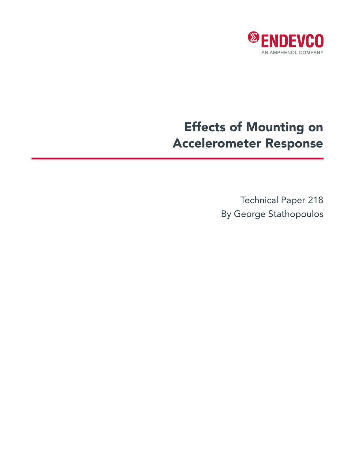

## Effects of Mounting on Accelerometer Response

Technical Paper 218 By George Stathopoulos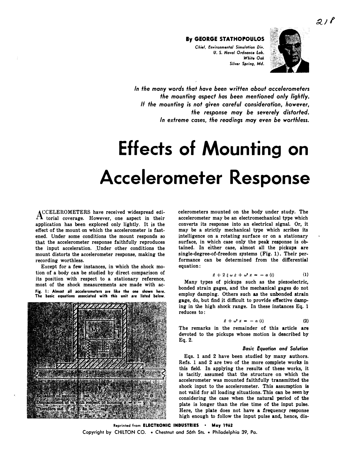*Chiel, Environmenlol Simulolion Div. U.* S. *Novo/ Ordnance Lob.*  **White Oak** Silver Spring, Md.



In the many words that have been written about accelerometers *the mounting aspect has been mentioned only lightly. If the mounting is not given careful consideration, however, the response may be severely distorted. In extreme* **cases,** *the readings may even be worthless.* 

# **Effects of Mounting on Accelerometer Response**

**ACCELEROMETERS have received widespread edi-**A torial coverage. However, one aspect in their **application has been explored only lightly. It is the effect of the mount on which the accelerometer is fastened. Under some conditions the mount responds so that the accelerometer response faithfully reproduces the input acceleration. \_Under other conditions the mount distorts the accelerometer response, making the recording worthless.** 

**Except for a few instances, in which the shock motion of a body can be studied by direct comparison of its position with respect to a stationary reference, most of the shock measurements are made with ac-**Fig. 1: Almost all accelerometers are like the one shown here. **The basic equations associated with this unit are listed below.** 



**celerometers mounted on the body under study. The accelerometer may be an electromechanical type which converts its response into an electrical signal. Or, it**  may be a strictly mechanical type which scribes its **intelligence on a rotating surface or on a stationary surface, in which case only the peak response is ob**tained. In either case, almost all the pickups are **single-degree-of.freedom systems (Fig. 1). Their per• formance can be determined from the differential equation:** 

$$
\ddot{x} + 2 \xi \omega \dot{x} + \omega^2 x = - a(t) \qquad (1)
$$

**Many types of pickups such as the piezoelectric, bonded strain gages, and the mechanical gages do not employ damping. Others such as the unbonded strain gage, do, but find it difficult to provide effective damping in the high shock range. In these instances Eq. 1 reduces to:** 

$$
\ddot{x} + \omega^2 x = - a(t) \tag{2}
$$

**The remarks in the remainder of this article are devoted to the pickups whose motion is described by Eq. 2.** 

#### *Basic Equation and Solution*

**Eqs. 1 and 2 have been studied by many authors. Refs. 1 and 2 are two of the more complete works in this field. In applying the results of these works, it is tacitly\_ assumed that the structure on which the accelerometer was mounted faithfully transmitted the shock input to the accelerometer. This assumption is not valid for all loading situations. This can be seen by considering the case when the natural period of the plate is longer than the rise time of the input pulse. Here, the plate does not have a frequency response high enough to follow the input pulse and, hence, dis-**

**Reprinted from ELECTRONIC INDUSTRIES • May <sup>1962</sup> Copyright by CHILTON CO. • Chestnut and 56th Sts. • Philadelphia 39, Pa.**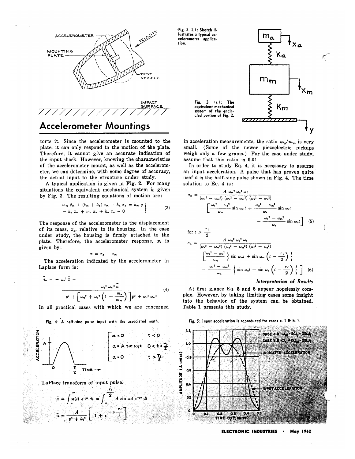

**Accelerometer Mountings** 

torts it. Since the accelerometer is mounted to the plate, it can only respond to the motion of the plate. Therefore, it cannot give an accurate indication of the input shock. However, knowing the characteristics of the accelerometer mount, as well as the accelerometer, we can determine, with some degree of accuracy, the actual input to the structure under study.

A typical application is given in Fig. 2. For many situations the equivalent mechanical system is given by Fig. 3. The resulting equations of motion are:

$$
m_{m} \ddot{x}_{m} + (k_{m} + k_{a}) x_{m} - k_{a} x_{a} = k_{m} y
$$
  
- k<sub>a</sub> x<sub>m</sub> + m<sub>a</sub> \ddot{x}\_{a} + k\_{a} x\_{a} = 0 (3)

The response of the accelerometer is the displacement of its mass,  $x_a$ , relative to its housing. In the case under study, the housing is firmly attached to the plate. Therefore, the accelerometer response,  $x$ , is given by:

$$
x = x_a - x_m
$$

The acceleration indicated by the accelerometer in Laplace form is:

$$
\bar{u}_{a} = -\omega_{a}^{2} \bar{x} =
$$
\n
$$
p' + \left[\omega_{m}^{2} + \omega_{a}^{2} \left(1 + \frac{m_{a}}{m_{m}}\right)\right] p^{2} + \omega_{a}^{2} \omega_{m}^{2}
$$
\n(4)

In all practical cases with which we are concerned

Fig. 4: A half-sine pulse input with the associated math.



Fig. 2 (1.): Sketch illustrates a typical accelerometer application.



 $\zeta$ 

in acceleration measurements, the ratio  $m_a/m_m$  is very small. (Some of the newer piezoelectric pickups weigh only a few grams.) For the case under study, assume that this ratio is 0.01.

In order to study Eq. 4, it is necessary to assume an input acceleration. A pulse that has proven quite useful is the half-sine pulse shown in Fig. 4. The time solution to Eq. 4 is:

$$
a_{a} = \frac{A \omega_{m} \omega_{a} \omega_{i}}{(\omega_{i}^{2} - \omega_{m}^{2}) (\omega_{a}^{2} - \omega_{m}^{2}) (\omega_{i}^{2} - \omega_{a}^{2})}
$$
\n
$$
\left[\frac{\omega_{i}^{2} - \omega_{a}^{2}}{\omega_{m}} \sin \omega_{m} t + \frac{\omega_{a}^{2} - \omega_{m}^{2}}{\omega_{i}} \sin \omega_{i} t - \frac{\omega_{i}^{2} - \omega_{m}^{2}}{\omega_{a}} \sin \omega_{i} t\right]
$$
\n
$$
f(t) = \frac{\tau_{i}}{2}
$$
\n
$$
a_{a} = \frac{A \omega_{m}^{2} \omega_{a}^{2} \omega_{i}}{(\omega_{i}^{2} - \omega_{m}^{2}) (\omega_{a}^{2} - \omega_{m}^{2}) (\omega_{i}^{2} - \omega_{a}^{2})}
$$
\n
$$
\left[\frac{\omega_{i}^{2} - \omega_{a}^{2}}{\omega_{m}} \left\{ \sin \omega_{m} t + \sin \omega_{m} \left( t - \frac{\tau_{i}}{2} \right) \right\} - \frac{\omega_{i}^{2} - \omega_{m}^{2}}{\omega_{a}} \left\{ \sin \omega_{a} t + \sin \omega_{a} \left( t - \frac{\tau_{i}}{2} \right) \right\} \right] (6)
$$

#### Interpretation of Results

At first glance Eq. 5 and 6 appear hopelessly complex. However, by taking limiting cases some insight into the behavior of the system can be obtained. Table 1 presents this study.



Fig. 5: Input acceleration is reproduced for cases a. 1 & b. 1.

ELECTRONIC INDUSTRIES . **May 1962**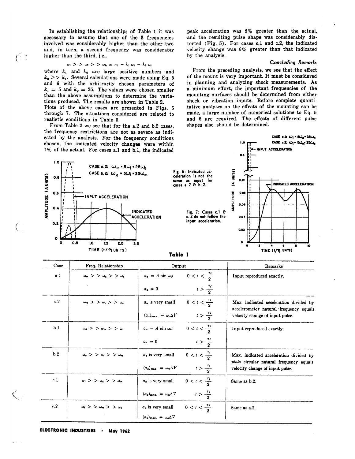In establishing the relationships of Table 1 it was necessary to assume that one of the 3 frequencies involved was considerably higher than the other two and, in turn, a second frequency was considerably higher than the third, *i.e.*,

#### $\omega_1$  > >  $\omega_2$  > >  $\omega_3$ , or  $n_1 = k_1 \omega_2 = k_2 \omega_3$

where  $k_1$  and  $k_2$  are large positive numbers and  $k_2 >> k_1$ . Several calculations were made using Eq. 5 and 6 with the arbitrarily chosen parameters of  $k_1 = 5$  and  $k_2 = 25$ . The values were chosen smaller than the above assumptions to determine the variations produced. The results are shown in Table 2.

Plots of the above cases are presented in Figs. 5 through 7. The situations considered are related to realistic conditions in Table 3.

From Table 2 we see that for the a.2 and b.2 cases, the frequency restrictions are not as severe as indicated by the analysis. For the frequency conditions chosen, the indicated velocity changes were within peak acceleration was 8% greater than the actual, and the resulting pulse shape was considerably distorted (Fig. 5). For cases c.1 and c.2, the indicated velocity change was  $6\%$  greater than that indicated by the analysis.

#### **Concluding Remarks**

CASE c.l:  $\omega_i$  =  $5\omega_a$  =  $25\omega_a$ 

CASE c.2: Wi\* 50g 250g

From the preceding analysis, we see that the effect of the mount is very important. It must be considered in planning and analyzing shock measurements. As a minimum effort, the important frequencies of the mounting surfaces should be determined from either shock or vibration inputs. Before complete quantitative analyses on the effects of the mounting can be made, a large number of numerical solutions to Eq. 5 and 6 are required. The effects of different pulse shapes also should be determined.



|          |                                  | o avpav                                   |                            | *********************************                                                 |
|----------|----------------------------------|-------------------------------------------|----------------------------|-----------------------------------------------------------------------------------|
| a.1      | $\omega_m > \omega_a > \omega_i$ | $a_a = A \sin \omega_i t$                 | $0 < t < \frac{\tau_i}{2}$ | Input reproduced exactly.                                                         |
|          |                                  | $a_{\bullet} = 0$                         | $t > \frac{\pi}{2}$        |                                                                                   |
| a.2      | $\omega_m > \omega_i > \omega_a$ | $a_a$ is very small                       | $0 < t < \frac{\tau_i}{2}$ | Max. indicated acceleration divided by<br>accelerometer natural frequency equals  |
|          |                                  | $(a_a)_{\text{max.}} = \omega_a \Delta V$ | $t > \frac{\tau_{1}}{2}$   | velocity change of input pulse.                                                   |
| b.1      | $\omega_a > \omega_m > \omega_i$ | $a_a = A \sin \omega_i t$                 | $0 < t < \frac{\tau_i}{2}$ | Input reproduced exactly.                                                         |
|          |                                  | $a_a = 0$                                 | $t > \frac{\tau_1}{2}$     |                                                                                   |
| b.2      | $\omega_a > \omega_i > \omega_m$ | $a_a$ is very small                       | $0 < t < \frac{\tau_i}{2}$ | Max. indicated acceleration divided by<br>plate circular natural frequency equals |
|          |                                  | $(a_a)_{\text{max.}} = \omega_m \Delta V$ | $t > \frac{\tau_i}{2}$     | velocity change of input pulse.                                                   |
| c.1      | $\omega_i > \omega_a > \omega_m$ | $a_a$ is very small                       | $0 < t < \frac{\tau_i}{2}$ | Same as b.2.                                                                      |
|          |                                  | $(a_a)_{\text{max.}} = \omega_m \Delta V$ | $t > \frac{\tau_i}{2}$     |                                                                                   |
| $^{c.2}$ | $\omega_i > \omega_m > \omega_a$ | $a_a$ is very small                       | $0 < t < \frac{\tau_i}{2}$ | Same as a.2.                                                                      |
|          |                                  | $(a_a)_{\text{max.}} = \omega_a \Delta V$ |                            |                                                                                   |

ELECTRONIC INDUSTRIES . **May 1962** 

 $\sqrt{2}$ 

€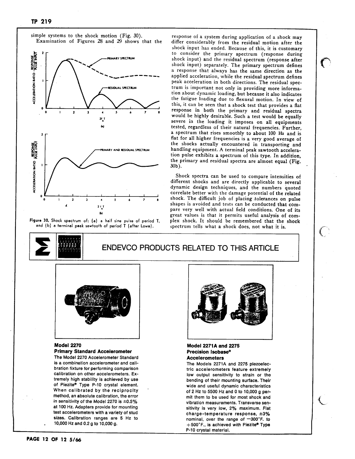

simple systems to the shock motion (Fig. 30). Examination of Figures 28 and 29 shows that the

Figure 30. Shock spectrum of: (a) a half sine pulse of period T, and (b) a terminal peak sawtooth of period T (after Lowe).

response of a system during application of a shock may differ considerably from the residual motion after the shock input has ended. Because of this, it is customary to consider the primary spectrum (response during shock input) and the residual spectrum (response after shock input) separately. The primary spectrum defines a response that always has the same direction as the applied acceleration, while the residual spectrum defines peak acceleration in both directions. The residual spectrum is important not only in providing more information about dynamic loading, but because it also indicates the fatigue loading due to flexural motion. In view of this, it can be seen that a shock test that provides a flat response in both the primary and residual spectra would be highly desirable. Such a test would be equally severe in the loading it imposes on all equipments tested, regardless of their natural frequencies. Further, a spectrum that rises smoothly to about 100 Hz and is flat for all higher frequencies is a very good average of the shocks actually encountered in transporting and handling equipment. A terminal peak sawtooth acceleration pulse exhibits a spectrum of this type. In addition, the primary and residual spectra are almost equal (Fig. 30b).

Shock spectra can be used to compare intensities of different shocks and are directly applicable to several dynamic design techniques, and the numbers quoted correlate better with the damage potential of the related shock. The difficult job of placing tolerances on pulse shapes is avoided and tests can be conducted that compare very well with actual field conditions. One of its great values is that it permits useful analysis of complex shock. It should be remembered that the shock spectrum tells what a shock does, not what it is.

 $\mathcal{L}$ 



### **ENDEVCO PRODUCTS RELATED TO THIS ARTICLE**



#### **Model 2270 Primary Standard Accelerometer**

The Model 2270 Accelerometer Standard is a combination accelerometer and calibration fixture for performing comparison calibration on other accelerometers. Extremely high stability is achieved by use of Piezite® Type P-10 crystal element. When calibrated by the reciprocity method, an absolute calibration, the error in sensitivity of the Model 2270 is  $\pm 0.5\%$ at 100 Hz. Adapters provide for mounting test accelerometers with a variety of stud sizes. Calibration ranges are 5 Hz to 10,000 Hz and 0.2 g to 10,000 g.



#### **Model 2271A and 2275** Precision Isobase® **Accelerometers**

The Models 2271A and 2275 piezoelectric accelerometers feature extremely low output sensitivity to strain or the bending of their mounting surface. Their wide and useful dynamic characteristics of 2 Hz to 5500 Hz and 0 to 10,000 g permit them to be used for most shock and vibration measurements. Transverse sensitivity is very low, 2% maximum. Flat charge-temperature response, ±3% nominal, over the range of -300°F. to +500°F., is achieved with Piezite® Type P-10 crystal material.